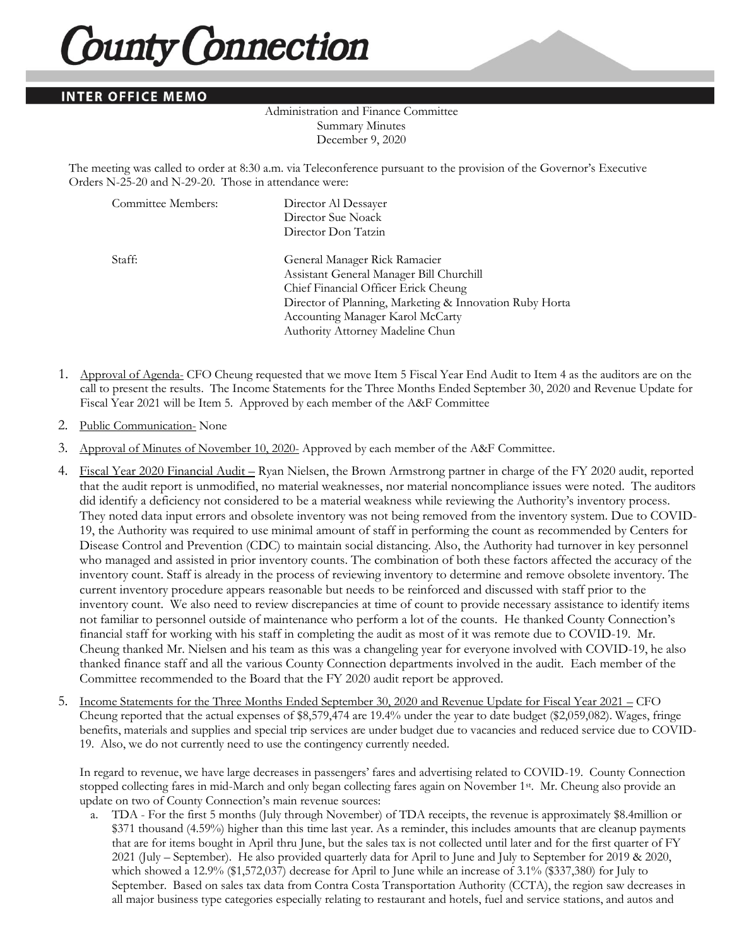## **County Connection**

## **INTER OFFICE MEMO**

## Administration and Finance Committee Summary Minutes December 9, 2020

The meeting was called to order at 8:30 a.m. via Teleconference pursuant to the provision of the Governor's Executive Orders N-25-20 and N-29-20. Those in attendance were:

| Committee Members: | Director Al Dessayer                                    |
|--------------------|---------------------------------------------------------|
|                    | Director Sue Noack                                      |
|                    | Director Don Tatzin                                     |
| Staff:             | General Manager Rick Ramacier                           |
|                    | Assistant General Manager Bill Churchill                |
|                    | Chief Financial Officer Erick Cheung                    |
|                    | Director of Planning, Marketing & Innovation Ruby Horta |
|                    | Accounting Manager Karol McCarty                        |
|                    | Authority Attorney Madeline Chun                        |

- 1. Approval of Agenda- CFO Cheung requested that we move Item 5 Fiscal Year End Audit to Item 4 as the auditors are on the call to present the results. The Income Statements for the Three Months Ended September 30, 2020 and Revenue Update for Fiscal Year 2021 will be Item 5. Approved by each member of the A&F Committee
- 2. Public Communication- None
- 3. Approval of Minutes of November 10, 2020- Approved by each member of the A&F Committee.
- 4. Fiscal Year 2020 Financial Audit Ryan Nielsen, the Brown Armstrong partner in charge of the FY 2020 audit, reported that the audit report is unmodified, no material weaknesses, nor material noncompliance issues were noted. The auditors did identify a deficiency not considered to be a material weakness while reviewing the Authority's inventory process. They noted data input errors and obsolete inventory was not being removed from the inventory system. Due to COVID-19, the Authority was required to use minimal amount of staff in performing the count as recommended by Centers for Disease Control and Prevention (CDC) to maintain social distancing. Also, the Authority had turnover in key personnel who managed and assisted in prior inventory counts. The combination of both these factors affected the accuracy of the inventory count. Staff is already in the process of reviewing inventory to determine and remove obsolete inventory. The current inventory procedure appears reasonable but needs to be reinforced and discussed with staff prior to the inventory count. We also need to review discrepancies at time of count to provide necessary assistance to identify items not familiar to personnel outside of maintenance who perform a lot of the counts. He thanked County Connection's financial staff for working with his staff in completing the audit as most of it was remote due to COVID-19. Mr. Cheung thanked Mr. Nielsen and his team as this was a changeling year for everyone involved with COVID-19, he also thanked finance staff and all the various County Connection departments involved in the audit. Each member of the Committee recommended to the Board that the FY 2020 audit report be approved.
- 5. Income Statements for the Three Months Ended September 30, 2020 and Revenue Update for Fiscal Year 2021 CFO Cheung reported that the actual expenses of \$8,579,474 are 19.4% under the year to date budget (\$2,059,082). Wages, fringe benefits, materials and supplies and special trip services are under budget due to vacancies and reduced service due to COVID-19. Also, we do not currently need to use the contingency currently needed.

In regard to revenue, we have large decreases in passengers' fares and advertising related to COVID-19. County Connection stopped collecting fares in mid-March and only began collecting fares again on November 1st. Mr. Cheung also provide an update on two of County Connection's main revenue sources:

a. TDA - For the first 5 months (July through November) of TDA receipts, the revenue is approximately \$8.4million or \$371 thousand (4.59%) higher than this time last year. As a reminder, this includes amounts that are cleanup payments that are for items bought in April thru June, but the sales tax is not collected until later and for the first quarter of FY 2021 (July – September). He also provided quarterly data for April to June and July to September for 2019 & 2020, which showed a 12.9% (\$1,572,037) decrease for April to June while an increase of 3.1% (\$337,380) for July to September. Based on sales tax data from Contra Costa Transportation Authority (CCTA), the region saw decreases in all major business type categories especially relating to restaurant and hotels, fuel and service stations, and autos and